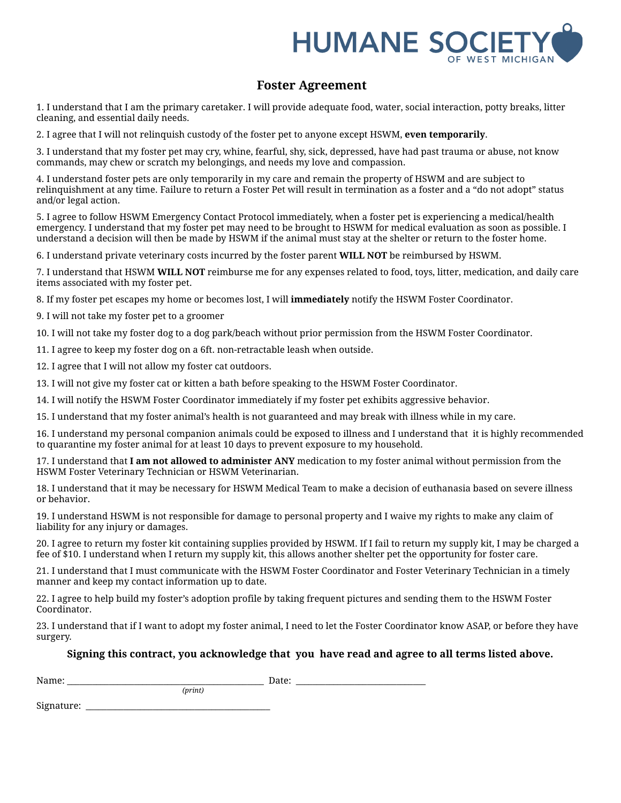

## **Foster Agreement**

1. I understand that I am the primary caretaker. I will provide adequate food, water, social interaction, potty breaks, litter cleaning, and essential daily needs.

2. I agree that I will not relinquish custody of the foster pet to anyone except HSWM, **even temporarily**.

3. I understand that my foster pet may cry, whine, fearful, shy, sick, depressed, have had past trauma or abuse, not know commands, may chew or scratch my belongings, and needs my love and compassion.

4. I understand foster pets are only temporarily in my care and remain the property of HSWM and are subject to relinquishment at any time. Failure to return a Foster Pet will result in termination as a foster and a "do not adopt" status and/or legal action.

5. I agree to follow HSWM Emergency Contact Protocol immediately, when a foster pet is experiencing a medical/health emergency. I understand that my foster pet may need to be brought to HSWM for medical evaluation as soon as possible. I understand a decision will then be made by HSWM if the animal must stay at the shelter or return to the foster home.

6. I understand private veterinary costs incurred by the foster parent **WILL NOT** be reimbursed by HSWM.

7. I understand that HSWM **WILL NOT** reimburse me for any expenses related to food, toys, litter, medication, and daily care items associated with my foster pet.

8. If my foster pet escapes my home or becomes lost, I will **immediately** notify the HSWM Foster Coordinator.

9. I will not take my foster pet to a groomer

10. I will not take my foster dog to a dog park/beach without prior permission from the HSWM Foster Coordinator.

11. I agree to keep my foster dog on a 6ft. non-retractable leash when outside.

12. I agree that I will not allow my foster cat outdoors.

13. I will not give my foster cat or kitten a bath before speaking to the HSWM Foster Coordinator.

14. I will notify the HSWM Foster Coordinator immediately if my foster pet exhibits aggressive behavior.

15. I understand that my foster animal's health is not guaranteed and may break with illness while in my care.

16. I understand my personal companion animals could be exposed to illness and I understand that it is highly recommended to quarantine my foster animal for at least 10 days to prevent exposure to my household.

17. I understand that **I am not allowed to administer ANY** medication to my foster animal without permission from the HSWM Foster Veterinary Technician or HSWM Veterinarian.

18. I understand that it may be necessary for HSWM Medical Team to make a decision of euthanasia based on severe illness or behavior.

19. I understand HSWM is not responsible for damage to personal property and I waive my rights to make any claim of liability for any injury or damages.

20. I agree to return my foster kit containing supplies provided by HSWM. If I fail to return my supply kit, I may be charged a fee of \$10. I understand when I return my supply kit, this allows another shelter pet the opportunity for foster care.

21. I understand that I must communicate with the HSWM Foster Coordinator and Foster Veterinary Technician in a timely manner and keep my contact information up to date.

22. I agree to help build my foster's adoption profile by taking frequent pictures and sending them to the HSWM Foster Coordinator.

23. I understand that if I want to adopt my foster animal, I need to let the Foster Coordinator know ASAP, or before they have surgery.

## **Signing this contract, you acknowledge that you have read and agree to all terms listed above.**

Name: \_\_\_\_\_\_\_\_\_\_\_\_\_\_\_\_\_\_\_\_\_\_\_\_\_\_\_\_\_\_\_\_\_\_\_\_\_\_\_\_\_\_\_\_\_\_\_ Date: \_\_\_\_\_\_\_\_\_\_\_\_\_\_\_\_\_\_\_\_\_\_\_\_\_\_\_\_\_\_\_ *(print)*

Signature: \_\_\_\_\_\_\_\_\_\_\_\_\_\_\_\_\_\_\_\_\_\_\_\_\_\_\_\_\_\_\_\_\_\_\_\_\_\_\_\_\_\_\_\_